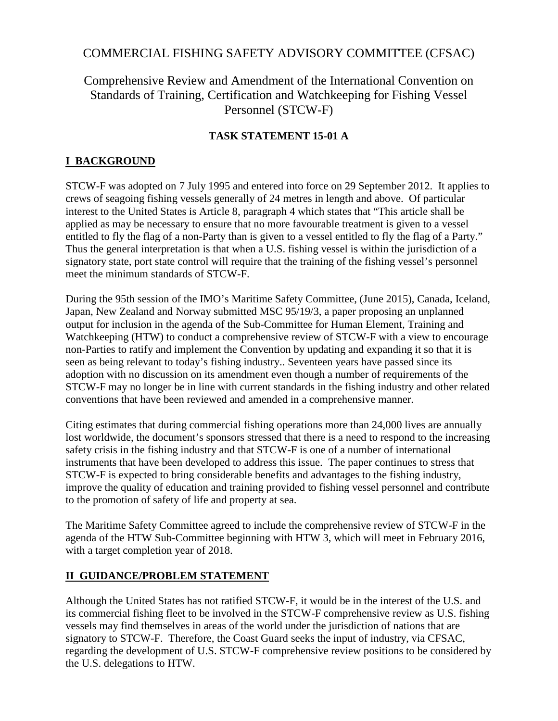# COMMERCIAL FISHING SAFETY ADVISORY COMMITTEE (CFSAC)

# Comprehensive Review and Amendment of the International Convention on Standards of Training, Certification and Watchkeeping for Fishing Vessel Personnel (STCW-F)

#### **TASK STATEMENT 15-01 A**

## **I BACKGROUND**

STCW-F was adopted on 7 July 1995 and entered into force on 29 September 2012. It applies to crews of seagoing fishing vessels generally of 24 metres in length and above. Of particular interest to the United States is Article 8, paragraph 4 which states that "This article shall be applied as may be necessary to ensure that no more favourable treatment is given to a vessel entitled to fly the flag of a non-Party than is given to a vessel entitled to fly the flag of a Party." Thus the general interpretation is that when a U.S. fishing vessel is within the jurisdiction of a signatory state, port state control will require that the training of the fishing vessel's personnel meet the minimum standards of STCW-F.

During the 95th session of the IMO's Maritime Safety Committee, (June 2015), Canada, Iceland, Japan, New Zealand and Norway submitted MSC 95/19/3, a paper proposing an unplanned output for inclusion in the agenda of the Sub-Committee for Human Element, Training and Watchkeeping (HTW) to conduct a comprehensive review of STCW-F with a view to encourage non-Parties to ratify and implement the Convention by updating and expanding it so that it is seen as being relevant to today's fishing industry.. Seventeen years have passed since its adoption with no discussion on its amendment even though a number of requirements of the STCW-F may no longer be in line with current standards in the fishing industry and other related conventions that have been reviewed and amended in a comprehensive manner.

Citing estimates that during commercial fishing operations more than 24,000 lives are annually lost worldwide, the document's sponsors stressed that there is a need to respond to the increasing safety crisis in the fishing industry and that STCW-F is one of a number of international instruments that have been developed to address this issue. The paper continues to stress that STCW-F is expected to bring considerable benefits and advantages to the fishing industry, improve the quality of education and training provided to fishing vessel personnel and contribute to the promotion of safety of life and property at sea.

The Maritime Safety Committee agreed to include the comprehensive review of STCW-F in the agenda of the HTW Sub-Committee beginning with HTW 3, which will meet in February 2016, with a target completion year of 2018.

#### **II GUIDANCE/PROBLEM STATEMENT**

Although the United States has not ratified STCW-F, it would be in the interest of the U.S. and its commercial fishing fleet to be involved in the STCW-F comprehensive review as U.S. fishing vessels may find themselves in areas of the world under the jurisdiction of nations that are signatory to STCW-F. Therefore, the Coast Guard seeks the input of industry, via CFSAC, regarding the development of U.S. STCW-F comprehensive review positions to be considered by the U.S. delegations to HTW.